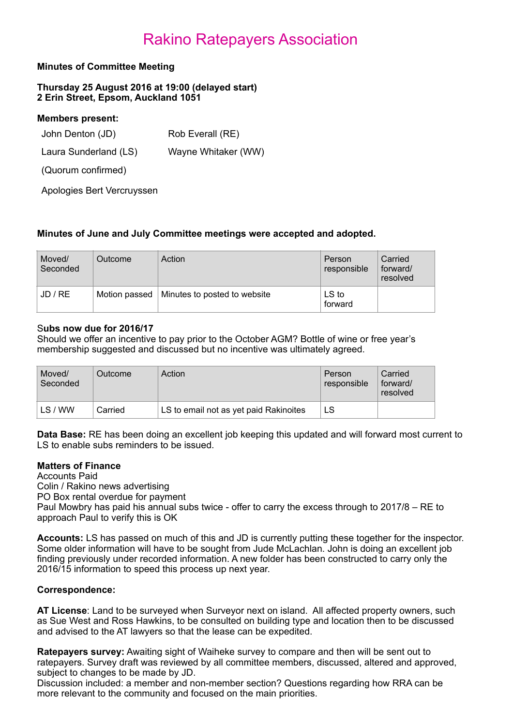## Rakino Ratepayers Association

### **Minutes of Committee Meeting**

**Thursday 25 August 2016 at 19:00 (delayed start) 2 Erin Street, Epsom, Auckland 1051** 

| <b>Members present:</b> |                     |
|-------------------------|---------------------|
| John Denton (JD)        | Rob Everall (RE)    |
| Laura Sunderland (LS)   | Wayne Whitaker (WW) |
| (Quorum confirmed)      |                     |
|                         |                     |

Apologies Bert Vercruyssen

### **Minutes of June and July Committee meetings were accepted and adopted.**

| Moved/<br>Seconded | Outcome       | Action                       | Person<br>responsible | Carried<br>forward/<br>resolved |
|--------------------|---------------|------------------------------|-----------------------|---------------------------------|
| JD / RE            | Motion passed | Minutes to posted to website | LS to<br>forward      |                                 |

#### S**ubs now due for 2016/17**

Should we offer an incentive to pay prior to the October AGM? Bottle of wine or free year's membership suggested and discussed but no incentive was ultimately agreed.

| Moved/<br>Seconded | Outcome | Action                                 | Person<br>responsible | Carried<br>forward/<br>resolved |
|--------------------|---------|----------------------------------------|-----------------------|---------------------------------|
| LS/WW              | Carried | LS to email not as yet paid Rakinoites |                       |                                 |

**Data Base:** RE has been doing an excellent job keeping this updated and will forward most current to LS to enable subs reminders to be issued.

### **Matters of Finance**

Accounts Paid Colin / Rakino news advertising PO Box rental overdue for payment Paul Mowbry has paid his annual subs twice - offer to carry the excess through to 2017/8 – RE to approach Paul to verify this is OK

**Accounts:** LS has passed on much of this and JD is currently putting these together for the inspector. Some older information will have to be sought from Jude McLachlan. John is doing an excellent job finding previously under recorded information. A new folder has been constructed to carry only the 2016/15 information to speed this process up next year.

### **Correspondence:**

**AT License**: Land to be surveyed when Surveyor next on island. All affected property owners, such as Sue West and Ross Hawkins, to be consulted on building type and location then to be discussed and advised to the AT lawyers so that the lease can be expedited.

**Ratepayers survey:** Awaiting sight of Waiheke survey to compare and then will be sent out to ratepayers. Survey draft was reviewed by all committee members, discussed, altered and approved, subject to changes to be made by JD.

Discussion included: a member and non-member section? Questions regarding how RRA can be more relevant to the community and focused on the main priorities.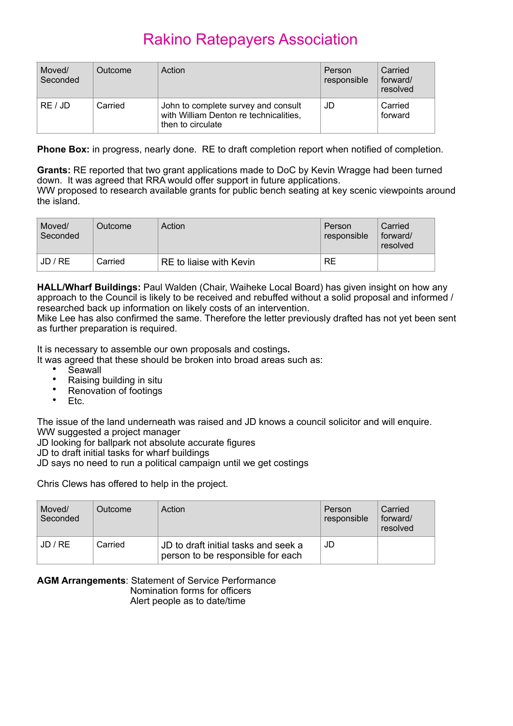# Rakino Ratepayers Association

| Moved/<br>Seconded | Outcome | Action                                                                                             | Person<br>responsible | Carried<br>forward/<br>resolved |
|--------------------|---------|----------------------------------------------------------------------------------------------------|-----------------------|---------------------------------|
| RE / JD            | Carried | John to complete survey and consult<br>with William Denton re technicalities,<br>then to circulate | JD                    | Carried<br>forward              |

**Phone Box:** in progress, nearly done. RE to draft completion report when notified of completion.

**Grants:** RE reported that two grant applications made to DoC by Kevin Wragge had been turned down. It was agreed that RRA would offer support in future applications. WW proposed to research available grants for public bench seating at key scenic viewpoints around the island.

| Moved/<br>Seconded | Outcome | Action                  | Person<br>responsible | Carried<br>forward/<br>resolved |
|--------------------|---------|-------------------------|-----------------------|---------------------------------|
| JD / RE            | Carried | RE to liaise with Kevin | <b>RE</b>             |                                 |

**HALL/Wharf Buildings:** Paul Walden (Chair, Waiheke Local Board) has given insight on how any approach to the Council is likely to be received and rebuffed without a solid proposal and informed / researched back up information on likely costs of an intervention.

Mike Lee has also confirmed the same. Therefore the letter previously drafted has not yet been sent as further preparation is required.

It is necessary to assemble our own proposals and costings**.** 

It was agreed that these should be broken into broad areas such as:

- Seawall<br>• Beiging
- Raising building in situ
- Renovation of footings
- Etc.

The issue of the land underneath was raised and JD knows a council solicitor and will enquire. WW suggested a project manager

JD looking for ballpark not absolute accurate figures

JD to draft initial tasks for wharf buildings

JD says no need to run a political campaign until we get costings

Chris Clews has offered to help in the project.

| Moved/<br>Seconded | <b>Outcome</b> | Action                                                                    | Person<br>responsible | Carried<br>forward/<br>resolved |
|--------------------|----------------|---------------------------------------------------------------------------|-----------------------|---------------------------------|
| JD / RE            | Carried        | JD to draft initial tasks and seek a<br>person to be responsible for each | JD                    |                                 |

### **AGM Arrangements**: Statement of Service Performance Nomination forms for officers

Alert people as to date/time